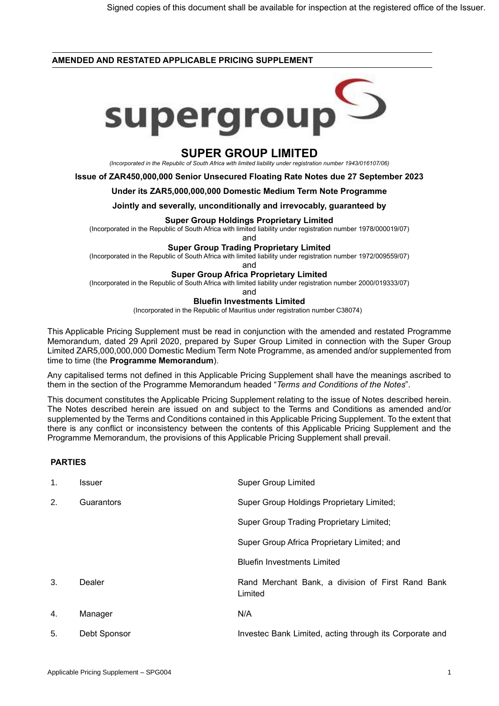## **AMENDED AND RESTATED APPLICABLE PRICING SUPPLEMENT**



# **SUPER GROUP LIMITED**

*(Incorporated in the Republic of South Africa with limited liability under registration number 1943/016107/06)*

**Issue of ZAR450,000,000 Senior Unsecured Floating Rate Notes due 27 September 2023**

## **Under its ZAR5,000,000,000 Domestic Medium Term Note Programme**

**Jointly and severally, unconditionally and irrevocably, guaranteed by**

#### **Super Group Holdings Proprietary Limited**

(Incorporated in the Republic of South Africa with limited liability under registration number 1978/000019/07)

and

## **Super Group Trading Proprietary Limited**

(Incorporated in the Republic of South Africa with limited liability under registration number 1972/009559/07)

and

## **Super Group Africa Proprietary Limited**

(Incorporated in the Republic of South Africa with limited liability under registration number 2000/019333/07)

and

## **Bluefin Investments Limited**

(Incorporated in the Republic of Mauritius under registration number C38074)

This Applicable Pricing Supplement must be read in conjunction with the amended and restated Programme Memorandum, dated 29 April 2020, prepared by Super Group Limited in connection with the Super Group Limited ZAR5,000,000,000 Domestic Medium Term Note Programme, as amended and/or supplemented from time to time (the **Programme Memorandum**).

Any capitalised terms not defined in this Applicable Pricing Supplement shall have the meanings ascribed to them in the section of the Programme Memorandum headed "*Terms and Conditions of the Notes*".

This document constitutes the Applicable Pricing Supplement relating to the issue of Notes described herein. The Notes described herein are issued on and subject to the Terms and Conditions as amended and/or supplemented by the Terms and Conditions contained in this Applicable Pricing Supplement. To the extent that there is any conflict or inconsistency between the contents of this Applicable Pricing Supplement and the Programme Memorandum, the provisions of this Applicable Pricing Supplement shall prevail.

## **PARTIES**

| $\mathbf{1}$ . | Issuer       | <b>Super Group Limited</b>                                   |
|----------------|--------------|--------------------------------------------------------------|
| 2.             | Guarantors   | Super Group Holdings Proprietary Limited;                    |
|                |              | Super Group Trading Proprietary Limited;                     |
|                |              | Super Group Africa Proprietary Limited; and                  |
|                |              | <b>Bluefin Investments Limited</b>                           |
| 3.             | Dealer       | Rand Merchant Bank, a division of First Rand Bank<br>Limited |
| 4.             | Manager      | N/A                                                          |
| 5.             | Debt Sponsor | Investec Bank Limited, acting through its Corporate and      |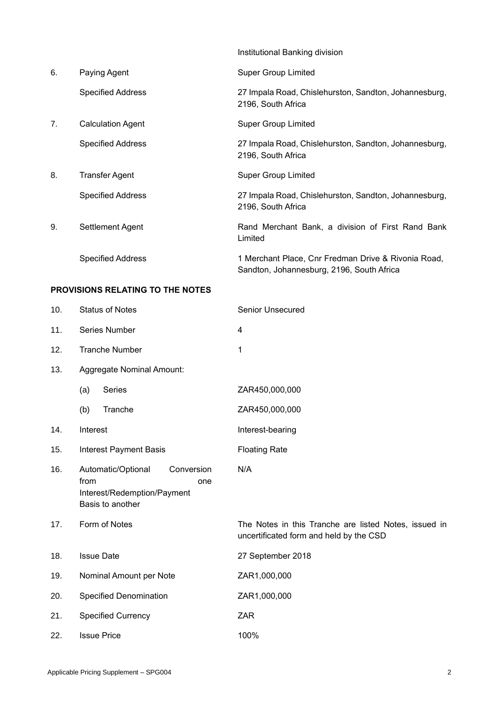|    |                          | Institutional Banking division                                                                   |
|----|--------------------------|--------------------------------------------------------------------------------------------------|
| 6. | Paying Agent             | <b>Super Group Limited</b>                                                                       |
|    | <b>Specified Address</b> | 27 Impala Road, Chislehurston, Sandton, Johannesburg,<br>2196, South Africa                      |
| 7. | <b>Calculation Agent</b> | <b>Super Group Limited</b>                                                                       |
|    | <b>Specified Address</b> | 27 Impala Road, Chislehurston, Sandton, Johannesburg,<br>2196, South Africa                      |
| 8. | <b>Transfer Agent</b>    | <b>Super Group Limited</b>                                                                       |
|    | <b>Specified Address</b> | 27 Impala Road, Chislehurston, Sandton, Johannesburg,<br>2196, South Africa                      |
| 9. | Settlement Agent         | Rand Merchant Bank, a division of First Rand Bank<br>Limited                                     |
|    | <b>Specified Address</b> | 1 Merchant Place, Cnr Fredman Drive & Rivonia Road,<br>Sandton, Johannesburg, 2196, South Africa |

# **PROVISIONS RELATING TO THE NOTES**

| 10. | <b>Status of Notes</b>                                                                             | <b>Senior Unsecured</b>                                                                          |
|-----|----------------------------------------------------------------------------------------------------|--------------------------------------------------------------------------------------------------|
| 11. | Series Number                                                                                      | 4                                                                                                |
| 12. | <b>Tranche Number</b>                                                                              | 1                                                                                                |
| 13. | Aggregate Nominal Amount:                                                                          |                                                                                                  |
|     | Series<br>(a)                                                                                      | ZAR450,000,000                                                                                   |
|     | Tranche<br>(b)                                                                                     | ZAR450,000,000                                                                                   |
| 14. | Interest                                                                                           | Interest-bearing                                                                                 |
| 15. | <b>Interest Payment Basis</b>                                                                      | <b>Floating Rate</b>                                                                             |
| 16. | Automatic/Optional<br>Conversion<br>from<br>one<br>Interest/Redemption/Payment<br>Basis to another | N/A                                                                                              |
| 17. | Form of Notes                                                                                      | The Notes in this Tranche are listed Notes, issued in<br>uncertificated form and held by the CSD |
| 18. | <b>Issue Date</b>                                                                                  | 27 September 2018                                                                                |
| 19. | Nominal Amount per Note                                                                            | ZAR1,000,000                                                                                     |
| 20. | Specified Denomination                                                                             | ZAR1,000,000                                                                                     |
| 21. | <b>Specified Currency</b>                                                                          | <b>ZAR</b>                                                                                       |
| 22. | <b>Issue Price</b>                                                                                 | 100%                                                                                             |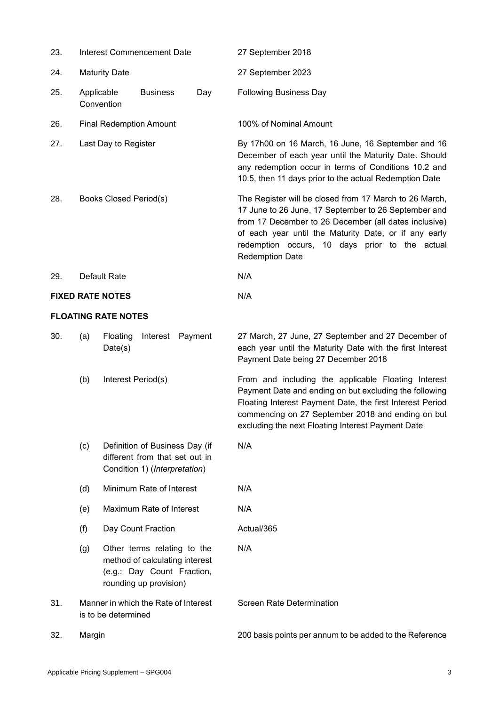| 23. | <b>Interest Commencement Date</b>                                                                                            |                          |                                                                                                   | 27 September 2018                |                                                                                                                                                                                                                                                                                                              |
|-----|------------------------------------------------------------------------------------------------------------------------------|--------------------------|---------------------------------------------------------------------------------------------------|----------------------------------|--------------------------------------------------------------------------------------------------------------------------------------------------------------------------------------------------------------------------------------------------------------------------------------------------------------|
| 24. | <b>Maturity Date</b>                                                                                                         |                          |                                                                                                   | 27 September 2023                |                                                                                                                                                                                                                                                                                                              |
| 25. | Applicable                                                                                                                   | Convention               | <b>Business</b>                                                                                   | Day                              | <b>Following Business Day</b>                                                                                                                                                                                                                                                                                |
| 26. |                                                                                                                              |                          | <b>Final Redemption Amount</b>                                                                    |                                  | 100% of Nominal Amount                                                                                                                                                                                                                                                                                       |
| 27. |                                                                                                                              | Last Day to Register     |                                                                                                   |                                  | By 17h00 on 16 March, 16 June, 16 September and 16<br>December of each year until the Maturity Date. Should<br>any redemption occur in terms of Conditions 10.2 and<br>10.5, then 11 days prior to the actual Redemption Date                                                                                |
| 28. | Books Closed Period(s)                                                                                                       |                          |                                                                                                   |                                  | The Register will be closed from 17 March to 26 March,<br>17 June to 26 June, 17 September to 26 September and<br>from 17 December to 26 December (all dates inclusive)<br>of each year until the Maturity Date, or if any early<br>redemption occurs, 10 days prior to the actual<br><b>Redemption Date</b> |
| 29. | Default Rate                                                                                                                 |                          |                                                                                                   |                                  | N/A                                                                                                                                                                                                                                                                                                          |
|     | <b>FIXED RATE NOTES</b>                                                                                                      |                          |                                                                                                   |                                  | N/A                                                                                                                                                                                                                                                                                                          |
|     | <b>FLOATING RATE NOTES</b>                                                                                                   |                          |                                                                                                   |                                  |                                                                                                                                                                                                                                                                                                              |
| 30. | (a)                                                                                                                          | Floating<br>Date(s)      | Interest                                                                                          | Payment                          | 27 March, 27 June, 27 September and 27 December of<br>each year until the Maturity Date with the first Interest<br>Payment Date being 27 December 2018                                                                                                                                                       |
|     | (b)                                                                                                                          | Interest Period(s)       |                                                                                                   |                                  | From and including the applicable Floating Interest<br>Payment Date and ending on but excluding the following<br>Floating Interest Payment Date, the first Interest Period<br>commencing on 27 September 2018 and ending on but<br>excluding the next Floating Interest Payment Date                         |
|     | (c)                                                                                                                          |                          | Definition of Business Day (if<br>different from that set out in<br>Condition 1) (Interpretation) |                                  | N/A                                                                                                                                                                                                                                                                                                          |
|     | (d)                                                                                                                          | Minimum Rate of Interest |                                                                                                   |                                  | N/A                                                                                                                                                                                                                                                                                                          |
|     | (e)                                                                                                                          | Maximum Rate of Interest |                                                                                                   |                                  | N/A                                                                                                                                                                                                                                                                                                          |
|     | (f)                                                                                                                          | Day Count Fraction       |                                                                                                   |                                  | Actual/365                                                                                                                                                                                                                                                                                                   |
|     | Other terms relating to the<br>(g)<br>method of calculating interest<br>(e.g.: Day Count Fraction,<br>rounding up provision) |                          |                                                                                                   | N/A                              |                                                                                                                                                                                                                                                                                                              |
| 31. | Manner in which the Rate of Interest<br>is to be determined                                                                  |                          |                                                                                                   | <b>Screen Rate Determination</b> |                                                                                                                                                                                                                                                                                                              |
| 32. | Margin                                                                                                                       |                          |                                                                                                   |                                  | 200 basis points per annum to be added to the Reference                                                                                                                                                                                                                                                      |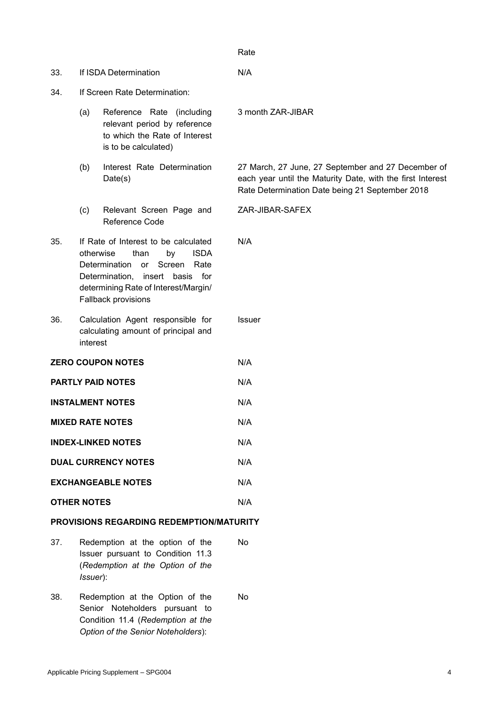3 month ZAR-JIBAR

ZAR-JIBAR-SAFEX

N/A

Issuer

27 March, 27 June, 27 September and 27 December of each year until the Maturity Date, with the first Interest Rate Determination Date being 21 September 2018

| 33. | If ISDA Determination | N/A |
|-----|-----------------------|-----|
|     |                       |     |

- 34. If Screen Rate Determination:
	- (a) Reference Rate (including relevant period by reference to which the Rate of Interest is to be calculated)
	- (b) Interest Rate Determination Date(s)
	- (c) Relevant Screen Page and Reference Code
- 35. If Rate of Interest to be calculated otherwise than by ISDA Determination or Screen Rate Determination, insert basis for determining Rate of Interest/Margin/ Fallback provisions
- 36. Calculation Agent responsible for calculating amount of principal and interest
- **ZERO COUPON NOTES** N/A
- **PARTLY PAID NOTES** N/A
- **INSTALMENT NOTES** N/A
- **MIXED RATE NOTES** N/A
- **INDEX-LINKED NOTES** N/A
- **DUAL CURRENCY NOTES** N/A
- **EXCHANGEABLE NOTES** N/A
- **OTHER NOTES** N/A

## **PROVISIONS REGARDING REDEMPTION/MATURITY**

- 37. Redemption at the option of the Issuer pursuant to Condition 11.3 (*Redemption at the Option of the Issuer*): No
- 38. Redemption at the Option of the Senior Noteholders pursuant to Condition 11.4 (*Redemption at the Option of the Senior Noteholders*): No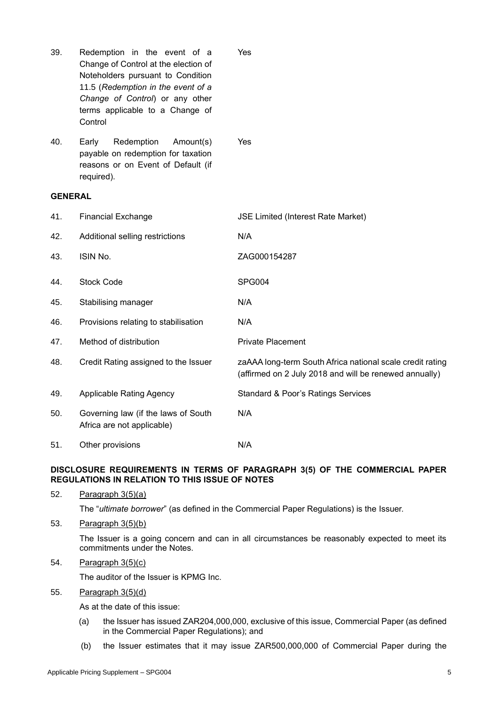| 39.            | Redemption in the event of a<br>Change of Control at the election of<br>Noteholders pursuant to Condition<br>11.5 (Redemption in the event of a<br>Change of Control) or any other<br>terms applicable to a Change of<br>Control | Yes                                                                                                                 |
|----------------|----------------------------------------------------------------------------------------------------------------------------------------------------------------------------------------------------------------------------------|---------------------------------------------------------------------------------------------------------------------|
| 40.            | Redemption<br>Amount(s)<br>Early<br>payable on redemption for taxation<br>reasons or on Event of Default (if<br>required).                                                                                                       | Yes                                                                                                                 |
| <b>GENERAL</b> |                                                                                                                                                                                                                                  |                                                                                                                     |
| 41.            | <b>Financial Exchange</b>                                                                                                                                                                                                        | <b>JSE Limited (Interest Rate Market)</b>                                                                           |
| 42.            | Additional selling restrictions                                                                                                                                                                                                  | N/A                                                                                                                 |
| 43.            | <b>ISIN No.</b>                                                                                                                                                                                                                  | ZAG000154287                                                                                                        |
| 44.            | <b>Stock Code</b>                                                                                                                                                                                                                | SPG004                                                                                                              |
| 45.            | Stabilising manager                                                                                                                                                                                                              | N/A                                                                                                                 |
| 46.            | Provisions relating to stabilisation                                                                                                                                                                                             | N/A                                                                                                                 |
| 47.            | Method of distribution                                                                                                                                                                                                           | <b>Private Placement</b>                                                                                            |
| 48.            | Credit Rating assigned to the Issuer                                                                                                                                                                                             | zaAAA long-term South Africa national scale credit rating<br>(affirmed on 2 July 2018 and will be renewed annually) |
| 49.            | <b>Applicable Rating Agency</b>                                                                                                                                                                                                  | <b>Standard &amp; Poor's Ratings Services</b>                                                                       |
| 50.            | Governing law (if the laws of South<br>Africa are not applicable)                                                                                                                                                                | N/A                                                                                                                 |
| 51.            | Other provisions                                                                                                                                                                                                                 | N/A                                                                                                                 |

# **DISCLOSURE REQUIREMENTS IN TERMS OF PARAGRAPH 3(5) OF THE COMMERCIAL PAPER REGULATIONS IN RELATION TO THIS ISSUE OF NOTES**

52. Paragraph 3(5)(a)

The "*ultimate borrower*" (as defined in the Commercial Paper Regulations) is the Issuer.

53. Paragraph 3(5)(b)

The Issuer is a going concern and can in all circumstances be reasonably expected to meet its commitments under the Notes.

54. Paragraph 3(5)(c)

The auditor of the Issuer is KPMG Inc.

55. Paragraph 3(5)(d)

As at the date of this issue:

- (a) the Issuer has issued ZAR204,000,000, exclusive of this issue, Commercial Paper (as defined in the Commercial Paper Regulations); and
- (b) the Issuer estimates that it may issue ZAR500,000,000 of Commercial Paper during the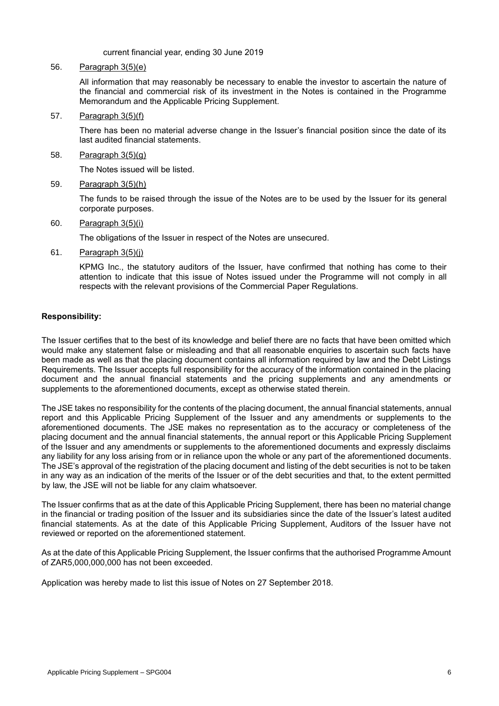current financial year, ending 30 June 2019

## 56. Paragraph 3(5)(e)

All information that may reasonably be necessary to enable the investor to ascertain the nature of the financial and commercial risk of its investment in the Notes is contained in the Programme Memorandum and the Applicable Pricing Supplement.

57. Paragraph 3(5)(f)

There has been no material adverse change in the Issuer's financial position since the date of its last audited financial statements.

58. Paragraph 3(5)(g)

The Notes issued will be listed.

59. Paragraph 3(5)(h)

The funds to be raised through the issue of the Notes are to be used by the Issuer for its general corporate purposes.

60. Paragraph 3(5)(i)

The obligations of the Issuer in respect of the Notes are unsecured.

61. Paragraph 3(5)(j)

KPMG Inc., the statutory auditors of the Issuer, have confirmed that nothing has come to their attention to indicate that this issue of Notes issued under the Programme will not comply in all respects with the relevant provisions of the Commercial Paper Regulations.

# **Responsibility:**

The Issuer certifies that to the best of its knowledge and belief there are no facts that have been omitted which would make any statement false or misleading and that all reasonable enquiries to ascertain such facts have been made as well as that the placing document contains all information required by law and the Debt Listings Requirements. The Issuer accepts full responsibility for the accuracy of the information contained in the placing document and the annual financial statements and the pricing supplements and any amendments or supplements to the aforementioned documents, except as otherwise stated therein.

The JSE takes no responsibility for the contents of the placing document, the annual financial statements, annual report and this Applicable Pricing Supplement of the Issuer and any amendments or supplements to the aforementioned documents. The JSE makes no representation as to the accuracy or completeness of the placing document and the annual financial statements, the annual report or this Applicable Pricing Supplement of the Issuer and any amendments or supplements to the aforementioned documents and expressly disclaims any liability for any loss arising from or in reliance upon the whole or any part of the aforementioned documents. The JSE's approval of the registration of the placing document and listing of the debt securities is not to be taken in any way as an indication of the merits of the Issuer or of the debt securities and that, to the extent permitted by law, the JSE will not be liable for any claim whatsoever.

The Issuer confirms that as at the date of this Applicable Pricing Supplement, there has been no material change in the financial or trading position of the Issuer and its subsidiaries since the date of the Issuer's latest audited financial statements. As at the date of this Applicable Pricing Supplement, Auditors of the Issuer have not reviewed or reported on the aforementioned statement.

As at the date of this Applicable Pricing Supplement, the Issuer confirms that the authorised Programme Amount of ZAR5,000,000,000 has not been exceeded.

Application was hereby made to list this issue of Notes on 27 September 2018.